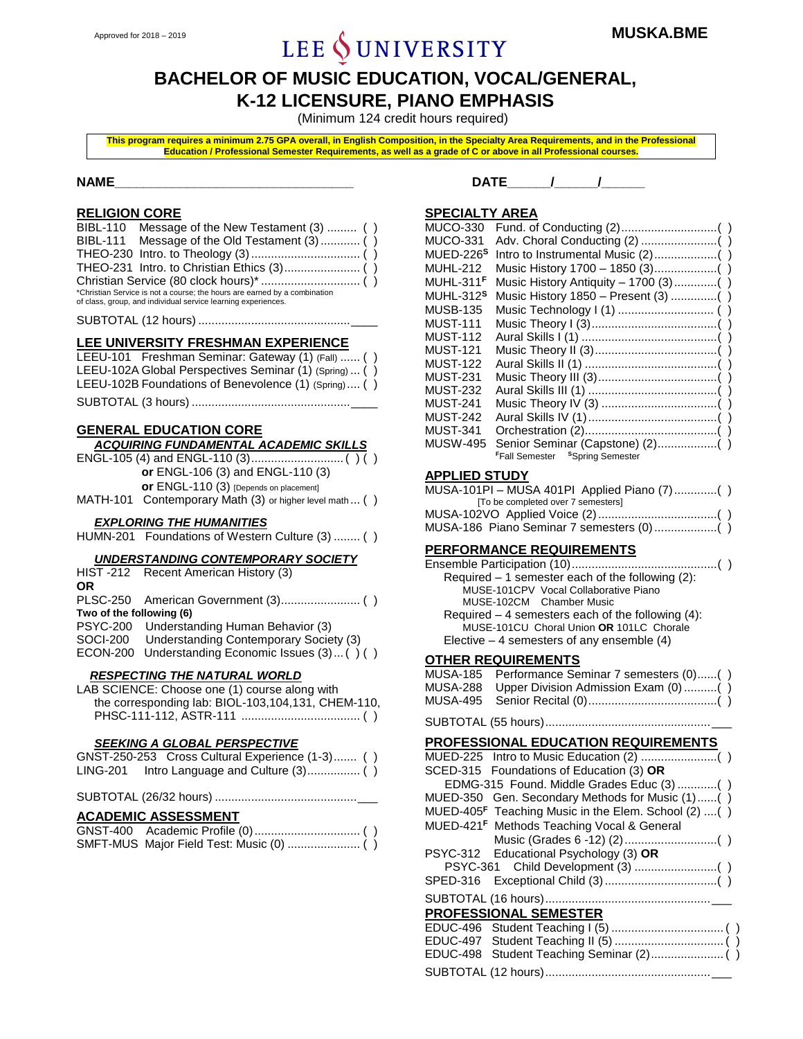# Approved for 2018 – 2019 **MUSKA.BME**<br>**Approved for 2018 – 2019 MUSKA.BME**

# **BACHELOR OF MUSIC EDUCATION, VOCAL/GENERAL, K-12 LICENSURE, PIANO EMPHASIS**

(Minimum 124 credit hours required)

**This program requires a minimum 2.75 GPA overall, in English Composition, in the Specialty Area Requirements, and in the Professional Education / Professional Semester Requirements, as well as a grade of C or above in all Professional courses.**

#### **RELIGION CORE**

| BIBL-110 Message of the New Testament (3)  ()                             |
|---------------------------------------------------------------------------|
| BIBL-111 Message of the Old Testament (3)  ()                             |
|                                                                           |
|                                                                           |
|                                                                           |
| *Christian Service is not a course; the hours are earned by a combination |
| of class, group, and individual service learning experiences.             |

SUBTOTAL (12 hours) ..............................................\_\_\_\_

#### **LEE UNIVERSITY FRESHMAN EXPERIENCE**

| LEEU-101 Freshman Seminar: Gateway (1) (Fall)  ()      |  |
|--------------------------------------------------------|--|
| LEEU-102A Global Perspectives Seminar (1) (Spring)  () |  |
| LEEU-102B Foundations of Benevolence (1) (Spring) ()   |  |
|                                                        |  |

#### **GENERAL EDUCATION CORE**

| <b>ACQUIRING FUNDAMENTAL ACADEMIC SKILLS</b>            |
|---------------------------------------------------------|
|                                                         |
| or ENGL-106 (3) and ENGL-110 (3)                        |
| or ENGL-110 (3) [Depends on placement]                  |
| MATH-101 Contemporary Math (3) or higher level math  () |

#### *EXPLORING THE HUMANITIES*

| HUMN-201 Foundations of Western Culture (3)  () |  |
|-------------------------------------------------|--|
|                                                 |  |

#### *UNDERSTANDING CONTEMPORARY SOCIETY*

|                          | HIST-212 Recent American History (3)             |
|--------------------------|--------------------------------------------------|
| ΟR                       |                                                  |
|                          |                                                  |
| Two of the following (6) |                                                  |
|                          | PSYC-200 Understanding Human Behavior (3)        |
|                          | SOCI-200 Understanding Contemporary Society (3)  |
|                          | ECON-200 Understanding Economic Issues (3) () () |
|                          | <b>RESPECTING THE NATURAL WORLD</b>              |
|                          | LAB SCIENCE: Choose one (1) course along with    |

the corresponding lab: BIOL-103,104,131, CHEM-110, PHSC-111-112, ASTR-111 .................................... ( )

#### *SEEKING A GLOBAL PERSPECTIVE*

|          | GNST-250-253 Cross Cultural Experience (1-3) () |  |
|----------|-------------------------------------------------|--|
| LING-201 |                                                 |  |

SUBTOTAL (26/32 hours) ...........................................\_\_\_

#### **ACADEMIC ASSESSMENT**

#### **NAME\_\_\_\_\_\_\_\_\_\_\_\_\_\_\_\_\_\_\_\_\_\_\_\_\_\_\_\_\_\_\_\_\_ DATE\_\_\_\_\_\_/\_\_\_\_\_\_/\_\_\_\_\_\_**

#### **SPECIALTY AREA**

| Music History Antiquity - 1700 (3) () |
|---------------------------------------|
|                                       |
|                                       |
|                                       |
|                                       |
|                                       |
|                                       |
|                                       |
|                                       |
|                                       |
|                                       |
|                                       |
|                                       |
|                                       |
|                                       |

#### **APPLIED STUDY**

| MUSA-101PI - MUSA 401PI Applied Piano (7) () |
|----------------------------------------------|
| To be completed over 7 semesters             |
|                                              |
|                                              |

#### **PERFORMANCE REQUIREMENTS**

| Required $-1$ semester each of the following (2):  |
|----------------------------------------------------|
| MUSE-101CPV Vocal Collaborative Piano              |
| MUSE-102CM Chamber Music                           |
| Required $-4$ semesters each of the following (4): |
| MUSE-101CU Choral Union OR 101LC Chorale           |
| Elective $-4$ semesters of any ensemble (4)        |
|                                                    |

#### **OTHER REQUIREMENTS**

| MUSA-185 Performance Seminar 7 semesters (0)() |
|------------------------------------------------|
| MUSA-288 Upper Division Admission Exam (0) ()  |
|                                                |
|                                                |

#### **PROFESSIONAL EDUCATION REQUIREMENTS**

| SCED-315 Foundations of Education (3) OR                        |
|-----------------------------------------------------------------|
| EDMG-315 Found. Middle Grades Educ (3) ()                       |
| MUED-350 Gen. Secondary Methods for Music (1)()                 |
| MUED-405 <sup>F</sup> Teaching Music in the Elem. School (2) () |
| MUED-421 <sup>F</sup> Methods Teaching Vocal & General          |
|                                                                 |
| PSYC-312 Educational Psychology (3) OR                          |
|                                                                 |
|                                                                 |
|                                                                 |
| <b>PROFESSIONAL SEMESTER</b>                                    |
|                                                                 |
|                                                                 |
|                                                                 |
|                                                                 |